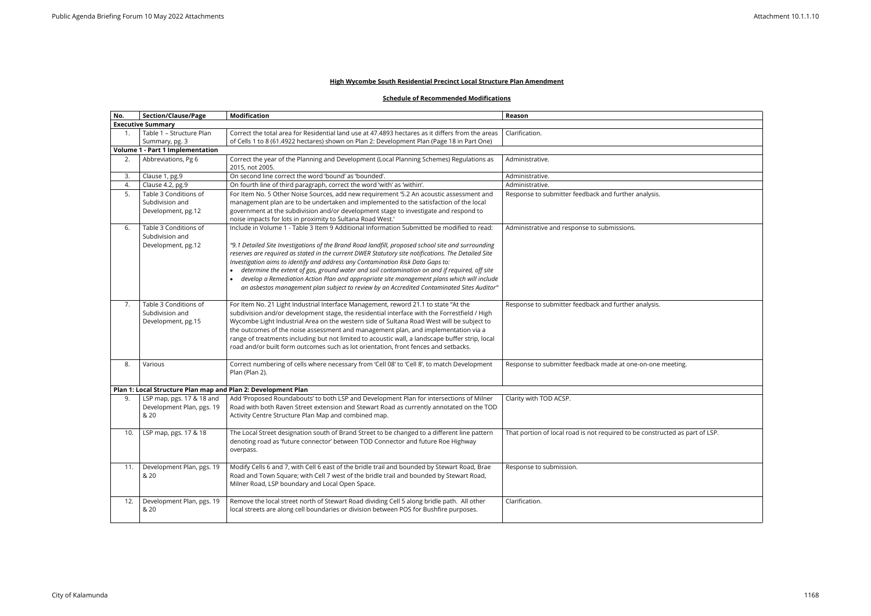## **High Wycombe South Residential Precinct Local Structure Plan Amendment**

## **Schedule of Recommended Modifications**

| No. | <b>Section/Clause/Page</b>                                    | <b>Modification</b>                                                                                                                                                              | Reason                                                                       |
|-----|---------------------------------------------------------------|----------------------------------------------------------------------------------------------------------------------------------------------------------------------------------|------------------------------------------------------------------------------|
|     | <b>Executive Summary</b>                                      |                                                                                                                                                                                  |                                                                              |
|     | Table 1 - Structure Plan                                      | Correct the total area for Residential land use at 47.4893 hectares as it differs from the areas                                                                                 | Clarification.                                                               |
|     | Summary, pg. 3                                                | of Cells 1 to 8 (61.4922 hectares) shown on Plan 2: Development Plan (Page 18 in Part One)                                                                                       |                                                                              |
|     | <b>Volume 1 - Part 1 Implementation</b>                       |                                                                                                                                                                                  |                                                                              |
| 2.  | Abbreviations, Pg 6                                           | Correct the year of the Planning and Development (Local Planning Schemes) Regulations as                                                                                         | Administrative.                                                              |
|     |                                                               | 2015, not 2005.                                                                                                                                                                  |                                                                              |
| 3.  | Clause 1, pg.9                                                | On second line correct the word 'bound' as 'bounded'.                                                                                                                            | Administrative.                                                              |
| 4.  | Clause 4.2, pg.9                                              | On fourth line of third paragraph, correct the word 'with' as 'within'.                                                                                                          | Administrative.                                                              |
| 5.  | Table 3 Conditions of                                         | For Item No. 5 Other Noise Sources, add new requirement '5.2 An acoustic assessment and                                                                                          | Response to submitter feedback and further analysis.                         |
|     | Subdivision and                                               | management plan are to be undertaken and implemented to the satisfaction of the local                                                                                            |                                                                              |
|     | Development, pg.12                                            | government at the subdivision and/or development stage to investigate and respond to                                                                                             |                                                                              |
|     |                                                               | noise impacts for lots in proximity to Sultana Road West.'                                                                                                                       |                                                                              |
| 6.  | Table 3 Conditions of                                         | Include in Volume 1 - Table 3 Item 9 Additional Information Submitted be modified to read:                                                                                       | Administrative and response to submissions.                                  |
|     | Subdivision and                                               |                                                                                                                                                                                  |                                                                              |
|     | Development, pg.12                                            | "9.1 Detailed Site Investigations of the Brand Road landfill, proposed school site and surrounding                                                                               |                                                                              |
|     |                                                               | reserves are required as stated in the current DWER Statutory site notifications. The Detailed Site                                                                              |                                                                              |
|     |                                                               | Investigation aims to identify and address any Contamination Risk Data Gaps to:<br>determine the extent of gas, ground water and soil contamination on and if required, off site |                                                                              |
|     |                                                               | develop a Remediation Action Plan and appropriate site management plans which will include                                                                                       |                                                                              |
|     |                                                               | an asbestos management plan subject to review by an Accredited Contaminated Sites Auditor"                                                                                       |                                                                              |
|     |                                                               |                                                                                                                                                                                  |                                                                              |
| 7.  | Table 3 Conditions of                                         | For Item No. 21 Light Industrial Interface Management, reword 21.1 to state "At the                                                                                              | Response to submitter feedback and further analysis.                         |
|     | Subdivision and                                               | subdivision and/or development stage, the residential interface with the Forrestfield / High                                                                                     |                                                                              |
|     | Development, pg.15                                            | Wycombe Light Industrial Area on the western side of Sultana Road West will be subject to                                                                                        |                                                                              |
|     |                                                               | the outcomes of the noise assessment and management plan, and implementation via a                                                                                               |                                                                              |
|     |                                                               | range of treatments including but not limited to acoustic wall, a landscape buffer strip, local                                                                                  |                                                                              |
|     |                                                               | road and/or built form outcomes such as lot orientation, front fences and setbacks.                                                                                              |                                                                              |
|     |                                                               |                                                                                                                                                                                  |                                                                              |
| 8.  | Various                                                       | Correct numbering of cells where necessary from 'Cell 08' to 'Cell 8', to match Development                                                                                      | Response to submitter feedback made at one-on-one meeting.                   |
|     |                                                               | Plan (Plan 2).                                                                                                                                                                   |                                                                              |
|     |                                                               |                                                                                                                                                                                  |                                                                              |
|     | Plan 1: Local Structure Plan map and Plan 2: Development Plan |                                                                                                                                                                                  |                                                                              |
| 9.  | LSP map, pgs. 17 & 18 and                                     | Add 'Proposed Roundabouts' to both LSP and Development Plan for intersections of Milner                                                                                          | Clarity with TOD ACSP.                                                       |
|     | Development Plan, pgs. 19                                     | Road with both Raven Street extension and Stewart Road as currently annotated on the TOD                                                                                         |                                                                              |
|     | & 20                                                          | Activity Centre Structure Plan Map and combined map.                                                                                                                             |                                                                              |
|     |                                                               |                                                                                                                                                                                  |                                                                              |
| 10. | LSP map, pgs. 17 & 18                                         | The Local Street designation south of Brand Street to be changed to a different line pattern                                                                                     | That portion of local road is not required to be constructed as part of LSP. |
|     |                                                               | denoting road as 'future connector' between TOD Connector and future Roe Highway                                                                                                 |                                                                              |
|     |                                                               | overpass.                                                                                                                                                                        |                                                                              |
|     |                                                               |                                                                                                                                                                                  |                                                                              |
| 11. | Development Plan, pgs. 19                                     | Modify Cells 6 and 7, with Cell 6 east of the bridle trail and bounded by Stewart Road, Brae                                                                                     | Response to submission.                                                      |
|     | & 20                                                          | Road and Town Square; with Cell 7 west of the bridle trail and bounded by Stewart Road,                                                                                          |                                                                              |
|     |                                                               | Milner Road, LSP boundary and Local Open Space.                                                                                                                                  |                                                                              |
|     |                                                               |                                                                                                                                                                                  |                                                                              |
| 12. | Development Plan, pgs. 19                                     | Remove the local street north of Stewart Road dividing Cell 5 along bridle path. All other                                                                                       | Clarification.                                                               |
|     | & 20                                                          | local streets are along cell boundaries or division between POS for Bushfire purposes.                                                                                           |                                                                              |
|     |                                                               |                                                                                                                                                                                  |                                                                              |

| $\overline{\mathsf{sis.}}$  |  |
|-----------------------------|--|
|                             |  |
|                             |  |
|                             |  |
|                             |  |
|                             |  |
|                             |  |
|                             |  |
|                             |  |
|                             |  |
|                             |  |
|                             |  |
|                             |  |
|                             |  |
| $\overline{\mathsf{sis}}$ . |  |
|                             |  |
|                             |  |
|                             |  |
|                             |  |
|                             |  |
|                             |  |
|                             |  |
| one meeting.                |  |
|                             |  |
|                             |  |
|                             |  |
|                             |  |
|                             |  |
|                             |  |
|                             |  |
|                             |  |
| structed as part of LSP.    |  |
|                             |  |
|                             |  |
|                             |  |
|                             |  |
|                             |  |
|                             |  |
|                             |  |
|                             |  |
|                             |  |
|                             |  |
|                             |  |
|                             |  |